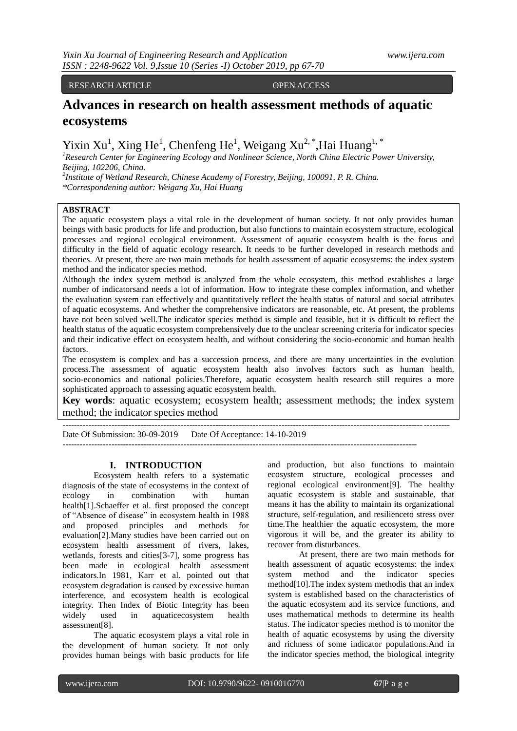RESEARCH ARTICLE OPEN ACCESS

# **Advances in research on health assessment methods of aquatic ecosystems**

Yixin Xu<sup>1</sup>, Xing He<sup>1</sup>, Chenfeng He<sup>1</sup>, Weigang Xu<sup>2,\*</sup>, Hai Huang<sup>1,\*</sup>

*<sup>1</sup>Research Center for Engineering Ecology and Nonlinear Science, North China Electric Power University, Beijing, 102206, China.*

*2 Institute of Wetland Research, Chinese Academy of Forestry, Beijing, 100091, P. R. China. \*Correspondening author: Weigang Xu, Hai Huang*

# **ABSTRACT**

The aquatic ecosystem plays a vital role in the development of human society. It not only provides human beings with basic products for life and production, but also functions to maintain ecosystem structure, ecological processes and regional ecological environment. Assessment of aquatic ecosystem health is the focus and difficulty in the field of aquatic ecology research. It needs to be further developed in research methods and theories. At present, there are two main methods for health assessment of aquatic ecosystems: the index system method and the indicator species method.

Although the index system method is analyzed from the whole ecosystem, this method establishes a large number of indicatorsand needs a lot of information. How to integrate these complex information, and whether the evaluation system can effectively and quantitatively reflect the health status of natural and social attributes of aquatic ecosystems. And whether the comprehensive indicators are reasonable, etc. At present, the problems have not been solved well.The indicator species method is simple and feasible, but it is difficult to reflect the health status of the aquatic ecosystem comprehensively due to the unclear screening criteria for indicator species and their indicative effect on ecosystem health, and without considering the socio-economic and human health factors

The ecosystem is complex and has a succession process, and there are many uncertainties in the evolution process.The assessment of aquatic ecosystem health also involves factors such as human health, socio-economics and national policies.Therefore, aquatic ecosystem health research still requires a more sophisticated approach to assessing aquatic ecosystem health.

**Key words**: aquatic ecosystem; ecosystem health; assessment methods; the index system method; the indicator species method

Date Of Submission: 30-09-2019 Date Of Acceptance: 14-10-2019

---------------------------------------------------------------------------------------------------------------------------

--------------------------------------------------------------------------------------------------------------------------------------

# **I. INTRODUCTION**

Ecosystem health refers to a systematic diagnosis of the state of ecosystems in the context of ecology in combination with human health[1].Schaeffer et al. first proposed the concept of "Absence of disease" in ecosystem health in 1988 and proposed principles and methods for evaluation[2].Many studies have been carried out on ecosystem health assessment of rivers, lakes, wetlands, forests and cities[3-7], some progress has been made in ecological health assessment indicators.In 1981, Karr et al. pointed out that ecosystem degradation is caused by excessive human interference, and ecosystem health is ecological integrity. Then Index of Biotic Integrity has been widely used in aquaticecosystem health assessment[8].

The aquatic ecosystem plays a vital role in the development of human society. It not only provides human beings with basic products for life

and production, but also functions to maintain ecosystem structure, ecological processes and regional ecological environment[9]. The healthy aquatic ecosystem is stable and sustainable, that means it has the ability to maintain its organizational structure, self-regulation, and resilienceto stress over time.The healthier the aquatic ecosystem, the more vigorous it will be, and the greater its ability to recover from disturbances.

At present, there are two main methods for health assessment of aquatic ecosystems: the index system method and the indicator species method[10].The index system methodis that an index system is established based on the characteristics of the aquatic ecosystem and its service functions, and uses mathematical methods to determine its health status. The indicator species method is to monitor the health of aquatic ecosystems by using the diversity and richness of some indicator populations.And in the indicator species method, the biological integrity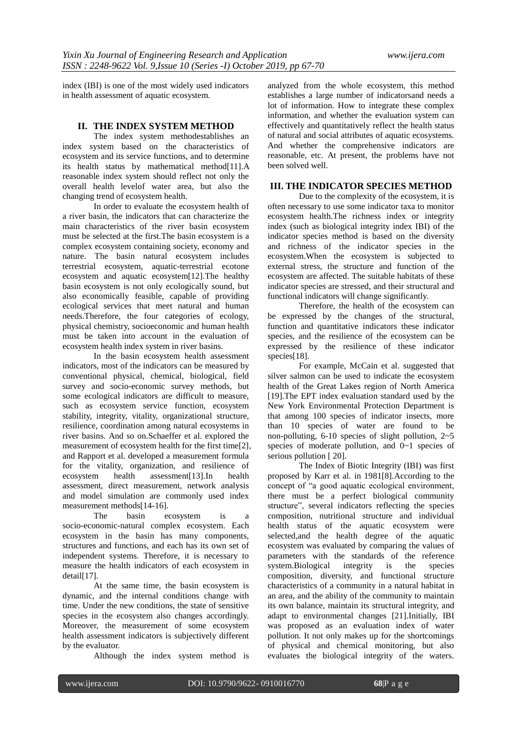index (IBI) is one of the most widely used indicators in health assessment of aquatic ecosystem.

# **II. THE INDEX SYSTEM METHOD**

The index system methodestablishes an index system based on the characteristics of ecosystem and its service functions, and to determine its health status by mathematical method[11].A reasonable index system should reflect not only the overall health levelof water area, but also the changing trend of ecosystem health.

In order to evaluate the ecosystem health of a river basin, the indicators that can characterize the main characteristics of the river basin ecosystem must be selected at the first.The basin ecosystem is a complex ecosystem containing society, economy and nature. The basin natural ecosystem includes terrestrial ecosystem, aquatic-terrestrial ecotone ecosystem and aquatic ecosystem[12].The healthy basin ecosystem is not only ecologically sound, but also economically feasible, capable of providing ecological services that meet natural and human needs.Therefore, the four categories of ecology, physical chemistry, socioeconomic and human health must be taken into account in the evaluation of ecosystem health index system in river basins.

In the basin ecosystem health assessment indicators, most of the indicators can be measured by conventional physical, chemical, biological, field survey and socio-economic survey methods, but some ecological indicators are difficult to measure, such as ecosystem service function, ecosystem stability, integrity, vitality, organizational structure, resilience, coordination among natural ecosystems in river basins. And so on.Schaeffer et al. explored the measurement of ecosystem health for the first time[2], and Rapport et al. developed a measurement formula for the vitality, organization, and resilience of ecosystem health assessment[13].In health assessment, direct measurement, network analysis and model simulation are commonly used index measurement methods[14-16].

The basin ecosystem is a socio-economic-natural complex ecosystem. Each ecosystem in the basin has many components, structures and functions, and each has its own set of independent systems. Therefore, it is necessary to measure the health indicators of each ecosystem in detail<sup>[17]</sup>.

At the same time, the basin ecosystem is dynamic, and the internal conditions change with time. Under the new conditions, the state of sensitive species in the ecosystem also changes accordingly. Moreover, the measurement of some ecosystem health assessment indicators is subjectively different by the evaluator.

Although the index system method is

analyzed from the whole ecosystem, this method establishes a large number of indicatorsand needs a lot of information. How to integrate these complex information, and whether the evaluation system can effectively and quantitatively reflect the health status of natural and social attributes of aquatic ecosystems. And whether the comprehensive indicators are reasonable, etc. At present, the problems have not been solved well.

# **III. THE INDICATOR SPECIES METHOD**

Due to the complexity of the ecosystem, it is often necessary to use some indicator taxa to monitor ecosystem health.The richness index or integrity index (such as biological integrity index IBI) of the indicator species method is based on the diversity and richness of the indicator species in the ecosystem.When the ecosystem is subjected to external stress, the structure and function of the ecosystem are affected. The suitable habitats of these indicator species are stressed, and their structural and functional indicators will change significantly.

Therefore, the health of the ecosystem can be expressed by the changes of the structural, function and quantitative indicators these indicator species, and the resilience of the ecosystem can be expressed by the resilience of these indicator species<sup>[18]</sup>.

For example, McCain et al. suggested that silver salmon can be used to indicate the ecosystem health of the Great Lakes region of North America [19].The EPT index evaluation standard used by the New York Environmental Protection Department is that among 100 species of indicator insects, more than 10 species of water are found to be non-polluting,  $6-10$  species of slight pollution,  $2-5$ species of moderate pollution, and  $0\nu$  species of serious pollution [20].

The Index of Biotic Integrity (IBI) was first proposed by Karr et al. in 1981[8].According to the concept of "a good aquatic ecological environment, there must be a perfect biological community structure", several indicators reflecting the species composition, nutritional structure and individual health status of the aquatic ecosystem were selected,and the health degree of the aquatic ecosystem was evaluated by comparing the values of parameters with the standards of the reference system.Biological integrity is the species composition, diversity, and functional structure characteristics of a community in a natural habitat in an area, and the ability of the community to maintain its own balance, maintain its structural integrity, and adapt to environmental changes [21].Initially, IBI was proposed as an evaluation index of water pollution. It not only makes up for the shortcomings of physical and chemical monitoring, but also evaluates the biological integrity of the waters.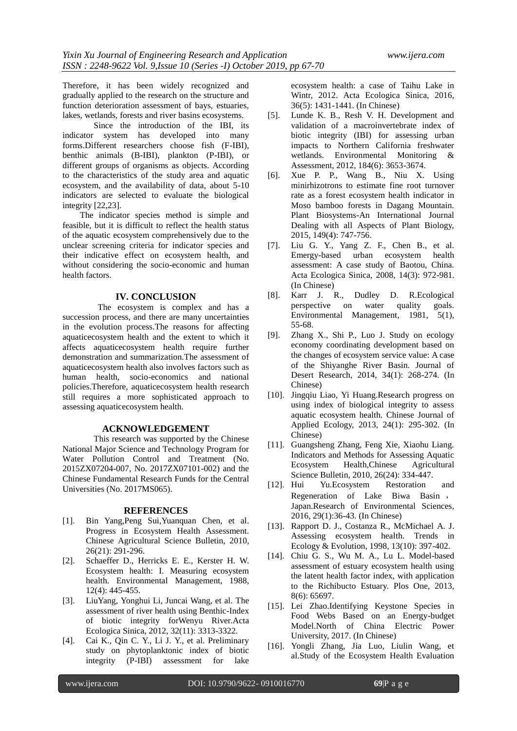Therefore, it has been widely recognized and gradually applied to the research on the structure and function deterioration assessment of bays, estuaries, lakes, wetlands, forests and river basins ecosystems.

Since the introduction of the IBI, its indicator system has developed into many forms.Different researchers choose fish (F-IBI), benthic animals (B-IBI), plankton (P-IBI), or different groups of organisms as objects. According to the characteristics of the study area and aquatic ecosystem, and the availability of data, about 5-10 indicators are selected to evaluate the biological integrity [22,23].

The indicator species method is simple and feasible, but it is difficult to reflect the health status of the aquatic ecosystem comprehensively due to the unclear screening criteria for indicator species and their indicative effect on ecosystem health, and without considering the socio-economic and human health factors.

#### **IV. CONCLUSION**

The ecosystem is complex and has a succession process, and there are many uncertainties in the evolution process.The reasons for affecting aquaticecosystem health and the extent to which it affects aquaticecosystem health require further demonstration and summarization.The assessment of aquaticecosystem health also involves factors such as human health, socio-economics and national policies.Therefore, aquaticecosystem health research still requires a more sophisticated approach to assessing aquaticecosystem health.

# **ACKNOWLEDGEMENT**

This research was supported by the Chinese National Major Science and Technology Program for Water Pollution Control and Treatment (No. 2015ZX07204-007, No. 2017ZX07101-002) and the Chinese Fundamental Research Funds for the Central Universities (No. 2017MS065).

# **REFERENCES**

- [1]. Bin Yang,Peng Sui,Yuanquan Chen, et al. Progress in Ecosystem Health Assessment. Chinese Agricultural Science Bulletin, 2010, 26(21): 291-296.
- [2]. Schaeffer D., Herricks E. E., Kerster H. W. Ecosystem health: I. Measuring ecosystem health. Environmental Management, 1988, 12(4): 445-455.
- [3]. LiuYang, Yonghui Li, Juncai Wang, et al. The assessment of river health using Benthic-Index of biotic integrity forWenyu River.Acta Ecologica Sinica, 2012, 32(11): 3313-3322.
- [4]. Cai K., Qin C. Y., Li J. Y., et al. Preliminary study on phytoplanktonic index of biotic integrity (P-IBI) assessment for lake

ecosystem health: a case of Taihu Lake in Wintr, 2012. Acta Ecologica Sinica, 2016, 36(5): 1431-1441. (In Chinese)

- [5]. Lunde K. B., Resh V. H. Development and validation of a macroinvertebrate index of biotic integrity (IBI) for assessing urban impacts to Northern California freshwater wetlands. Environmental Monitoring & Assessment, 2012, 184(6): 3653-3674.
- [6]. Xue P. P., Wang B., Niu X. Using minirhizotrons to estimate fine root turnover rate as a forest ecosystem health indicator in Moso bamboo forests in Dagang Mountain. Plant Biosystems-An International Journal Dealing with all Aspects of Plant Biology, 2015, 149(4): 747-756.
- [7]. Liu G. Y., Yang Z. F., Chen B., et al. Emergy-based urban ecosystem health assessment: A case study of Baotou, China. Acta Ecologica Sinica, 2008, 14(3): 972-981. (In Chinese)<br>Karr J. R.,
- [8]. Karr J. R., Dudley D. R.Ecological perspective on water quality goals. Environmental Management, 1981, 5(1), 55-68.
- [9]. Zhang X., Shi P., Luo J. Study on ecology economy coordinating development based on the changes of ecosystem service value: A case of the Shiyanghe River Basin. Journal of Desert Research, 2014, 34(1): 268-274. (In Chinese)
- [10]. Jingqiu Liao, Yi Huang.Research progress on using index of biological integrity to assess aquatic ecosystem health. Chinese Journal of Applied Ecology, 2013, 24(1): 295-302. (In Chinese)
- [11]. Guangsheng Zhang, Feng Xie, Xiaohu Liang. Indicators and Methods for Assessing Aquatic Ecosystem Health,Chinese Agricultural Science Bulletin, 2010, 26(24): 334-447.
- [12]. Hui Yu.Ecosystem Restoration and Regeneration of Lake Biwa Basin , Japan.Research of Environmental Sciences, 2016, 29(1):36-43. (In Chinese)
- [13]. Rapport D. J., Costanza R., McMichael A. J. Assessing ecosystem health. Trends in Ecology & Evolution, 1998, 13(10): 397-402.
- [14]. Chiu G. S., Wu M. A., Lu L. Model-based assessment of estuary ecosystem health using the latent health factor index, with application to the Richibucto Estuary. Plos One, 2013, 8(6): 65697.
- [15]. Lei Zhao.Identifying Keystone Species in Food Webs Based on an Energy-budget Model.North of China Electric Power University, 2017. (In Chinese)
- [16]. Yongli Zhang, Jia Luo, Liulin Wang, et al.Study of the Ecosystem Health Evaluation